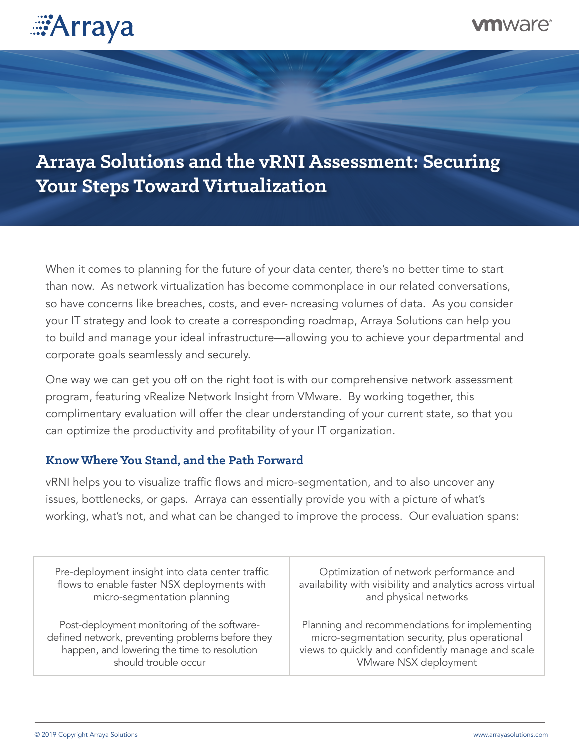

## mware

# **Arraya Solutions and the vRNI Assessment: Securing Your Steps Toward Virtualization**

When it comes to planning for the future of your data center, there's no better time to start than now. As network virtualization has become commonplace in our related conversations, so have concerns like breaches, costs, and ever-increasing volumes of data. As you consider your IT strategy and look to create a corresponding roadmap, Arraya Solutions can help you to build and manage your ideal infrastructure—allowing you to achieve your departmental and corporate goals seamlessly and securely.

One way we can get you off on the right foot is with our comprehensive network assessment program, featuring vRealize Network Insight from VMware. By working together, this complimentary evaluation will offer the clear understanding of your current state, so that you can optimize the productivity and profitability of your IT organization.

## **Know Where You Stand, and the Path Forward**

vRNI helps you to visualize traffic flows and micro-segmentation, and to also uncover any issues, bottlenecks, or gaps. Arraya can essentially provide you with a picture of what's working, what's not, and what can be changed to improve the process. Our evaluation spans:

| Pre-deployment insight into data center traffic  | Optimization of network performance and                   |
|--------------------------------------------------|-----------------------------------------------------------|
| flows to enable faster NSX deployments with      | availability with visibility and analytics across virtual |
| micro-segmentation planning                      | and physical networks                                     |
| Post-deployment monitoring of the software-      | Planning and recommendations for implementing             |
| defined network, preventing problems before they | micro-segmentation security, plus operational             |
| happen, and lowering the time to resolution      | views to quickly and confidently manage and scale         |
| should trouble occur                             | VMware NSX deployment                                     |